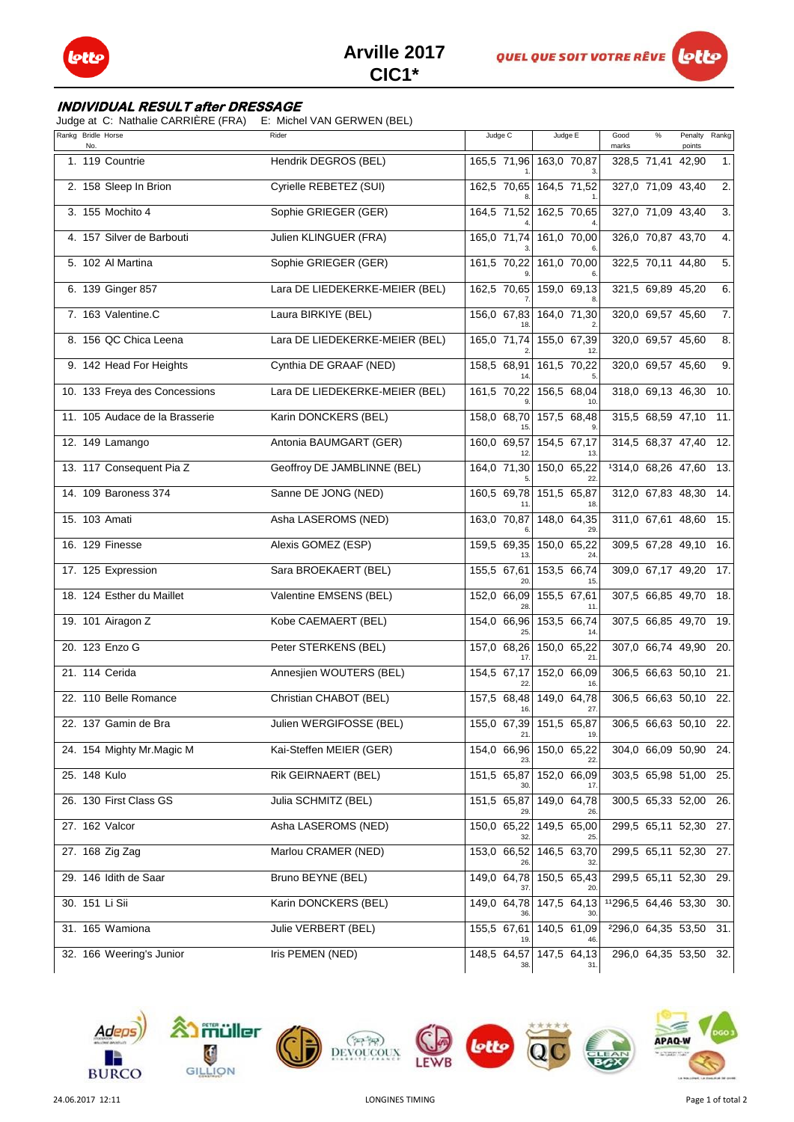

## **INDIVIDUAL RESULT after DRESSAGE**

Judge at C: Nathalie CARRIÈRE (FRA) E: Michel VAN GERWEN (BEL)

| Rankg Bridle Horse<br>No.      | Rider                          | Judge C                  | Judge E                        | $\%$<br>Good<br>marks | Penalty<br>points | Rankg            |
|--------------------------------|--------------------------------|--------------------------|--------------------------------|-----------------------|-------------------|------------------|
| 1. 119 Countrie                | Hendrik DEGROS (BEL)           |                          | 165,5 71,96 163,0 70,87        | 328,5 71,41           | 42,90             | 1.               |
| 2. 158 Sleep In Brion          | Cyrielle REBETEZ (SUI)         |                          | 162,5 70,65 164,5 71,52        | 327,0 71,09 43,40     |                   | $\overline{2}$ . |
| 3. 155 Mochito 4               | Sophie GRIEGER (GER)           | 164,5 71,52              | 162,5 70,65                    | 327,0 71,09 43,40     |                   | 3.               |
| 4. 157 Silver de Barbouti      | Julien KLINGUER (FRA)          | 165,0 71,74              | 161,0 70,00                    | 326,0 70,87 43,70     |                   | 4.               |
| 5. 102 Al Martina              | Sophie GRIEGER (GER)           | 161,5 70,22              | 161,0 70,00                    | 322,5 70,11 44,80     |                   | 5.               |
| 6. 139 Ginger 857              | Lara DE LIEDEKERKE-MEIER (BEL) |                          | 162,5 70,65 159,0 69,13        | 321,5 69,89 45,20     |                   | 6.               |
| 7. 163 Valentine.C             | Laura BIRKIYE (BEL)            |                          | 156,0 67,83 164,0 71,30        | 320,0 69,57 45,60     |                   | $\overline{7}$ . |
| 8. 156 QC Chica Leena          | Lara DE LIEDEKERKE-MEIER (BEL) | 165,0 71,74              | 155,0 67,39                    | 320,0 69,57 45,60     |                   | 8.               |
| 9. 142 Head For Heights        | Cynthia DE GRAAF (NED)         | 158,5 68,91              | 161,5 70,22                    | 320,0 69,57 45,60     |                   | 9.               |
| 10. 133 Freya des Concessions  | Lara DE LIEDEKERKE-MEIER (BEL) | $\overline{161,5}$ 70,22 | $156,5$ 68,04                  | 318,0 69,13 46,30     |                   | 10.              |
| 11. 105 Audace de la Brasserie | Karin DONCKERS (BEL)           | 158,0 68,70              | 157,5 68,48                    | 315,5 68,59 47,10     |                   | 11.              |
| 12. 149 Lamango                | Antonia BAUMGART (GER)         | 160,0 69,57              | 154.5 67.17<br>13              | 314,5 68,37 47,40     |                   | 12.              |
| 13. 117 Consequent Pia Z       | Geoffroy DE JAMBLINNE (BEL)    | 164,0 71,30              | 150,0 65,22                    | 1314,0 68,26 47,60    |                   | 13.              |
| 14. 109 Baroness 374           | Sanne DE JONG (NED)            | 160,5 69,78              | 151,5 65,87<br>18              | 312,0 67,83 48,30     |                   | 14.              |
| 15. 103 Amati                  | Asha LASEROMS (NED)            | 163,0 70,87              | $148,0$ 64,35                  | 311,0 67,61 48,60     |                   | 15.              |
| 16. 129 Finesse                | Alexis GOMEZ (ESP)             | 159,5 69,35              | 150,0 65,22                    | 309,5 67,28 49,10     |                   | 16.              |
| 17. 125 Expression             | Sara BROEKAERT (BEL)           | 155,5 67,61<br>20        | 153,5 66,74<br>15              | 309,0 67,17 49,20     |                   | 17.              |
| 18. 124 Esther du Maillet      | Valentine EMSENS (BEL)         | 152,0 66,09              | 155,5 67,61                    | 307,5 66,85 49,70     |                   | 18.              |
| 19. 101 Airagon Z              | Kobe CAEMAERT (BEL)            | 154,0 66,96<br>25        | 153,5 66,74<br>14              | 307,5 66,85 49,70     |                   | 19.              |
| 20. 123 Enzo G                 | Peter STERKENS (BEL)           | 157,0 68,26              | $150,0$ 65,22<br>21            | 307,0 66,74 49,90     |                   | 20.              |
| 21. 114 Cerida                 | Annesjien WOUTERS (BEL)        | 154,5 67,17              | 152,0 66,09                    | 306,5 66,63 50,10     |                   | 21.              |
| 22. 110 Belle Romance          | Christian CHABOT (BEL)         |                          | 157,5 68,48 149,0 64,78<br>27. | 306,5 66,63 50,10     |                   | 22.              |
| 22. 137 Gamin de Bra           | Julien WERGIFOSSE (BEL)        | 21.                      | 155,0 67,39 151,5 65,87<br>19. | 306,5 66,63 50,10 22. |                   |                  |
| 24. 154 Mighty Mr. Magic M     | Kai-Steffen MEIER (GER)        | 154,0 66,96              | 150,0 65,22                    | 304,0 66,09 50,90     |                   | 24.              |
| 25. 148 Kulo                   | Rik GEIRNAERT (BEL)            | 151,5 65,87              | 152,0 66,09                    | 303,5 65,98 51,00 25. |                   |                  |
| 26. 130 First Class GS         | Julia SCHMITZ (BEL)            | 151,5 65,87              | 149,0 64,78                    | 300,5 65,33 52,00     |                   | 26.              |
| 27. 162 Valcor                 | Asha LASEROMS (NED)            | 150,0 65,22              | 149,5 65,00                    | 299,5 65,11 52,30     |                   | 27.              |
| 27. 168 Zig Zag                | Marlou CRAMER (NED)            | 153,0 66,52              | 146,5 63,70                    | 299,5 65,11 52,30 27. |                   |                  |
| 29. 146 Idith de Saar          | Bruno BEYNE (BEL)              | $149,0$ 64,78            | 150,5 65,43<br>20              | 299,5 65,11 52,30     |                   | 29.              |
| 30. 151 Li Sii                 | Karin DONCKERS (BEL)           |                          | 149,0 64,78 147,5 64,13        | 11296,5 64,46 53,30   |                   | 30.              |
| 31. 165 Wamiona                | Julie VERBERT (BEL)            | 155,5 67,61              | 140,5 61,09                    | 2296,0 64,35 53,50    |                   | 31.              |
| 32. 166 Weering's Junior       | Iris PEMEN (NED)               |                          | 148,5 64,57 147,5 64,13<br>31. | 296,0 64,35 53,50 32. |                   |                  |